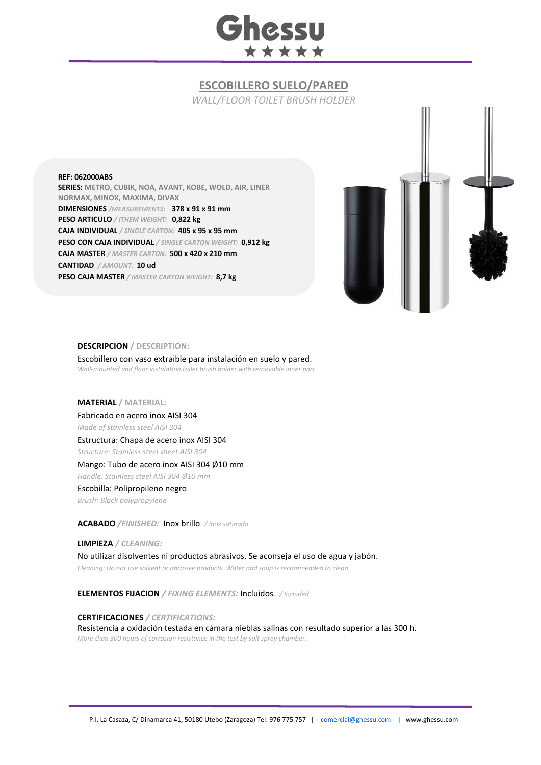

# **ESCOBILLERO SUELO/PARED**

*WALL/FLOOR TOILET BRUSH HOLDER*

#### **REF: 062000ABS**

**SERIES: METRO, CUBIK, NOA, AVANT, KOBE, WOLD, AIR, LINER NORMAX, MINOX, MAXIMA, DIVAX DIMENSIONES** */MEASUREMENTS:* **378 x 91 x 91 mm PESO ARTICULO** */ ITHEM WEIGHT:* **0,822 kg CAJA INDIVIDUAL** */ SINGLE CARTON:* **405 x 95 x 95 mm PESO CON CAJA INDIVIDUAL** */ SINGLE CARTON WEIGHT:* **0,912 kg CAJA MASTER** */ MASTER CARTON:* **500 x 420 x 210 mm CANTIDAD** */ AMOUNT:* **10 ud PESO CAJA MASTER** */ MASTER CARTON WEIGHT:* **8,7 kg**



#### **DESCRIPCION / DESCRIPTION:**

Escobillero con vaso extraible para instalación en suelo y pared. *Wall-mounted and floor instalation toilet brush holder with removable inner part*

## **MATERIAL / MATERIAL:**

Fabricado en acero inox AISI 304 *Made of stainless steel AISI 304* Estructura: Chapa de acero inox AISI 304 *Structure: Stainless steel sheet AISI 304* Mango: Tubo de acero inox AISI 304 Ø10 mm *Handle: Stainless steel AISI 304 Ø10 mm* Escobilla: Polipropileno negro *Brush: Black polypropylene* 

# **ACABADO** */FINISHED:*Inox brillo */ Inox satinado*

**LIMPIEZA** */ CLEANING:* No utilizar disolventes ni productos abrasivos. Se aconseja el uso de agua y jabón. *Cleaning: Do not use solvent or abrasive products. Water and soap is recommended to clean.*

**ELEMENTOS FIJACION** */ FIXING ELEMENTS:* Incluidos*. / Included*

### **CERTIFICACIONES** */ CERTIFICATIONS:*

Resistencia a oxidación testada en cámara nieblas salinas con resultado superior a las 300 h. *More than 300 hours of corrosion resistance in the test by salt spray chamber.*